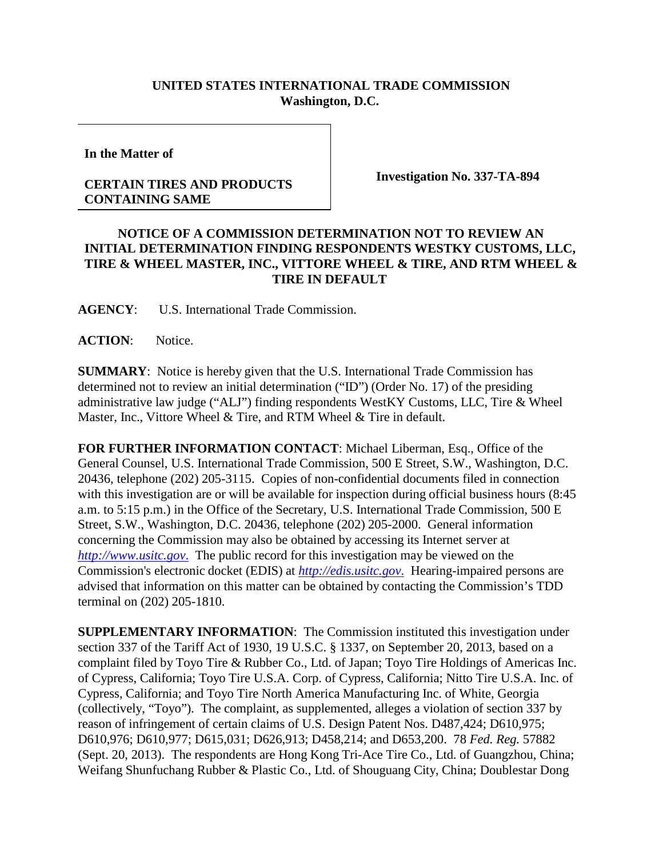## **UNITED STATES INTERNATIONAL TRADE COMMISSION Washington, D.C.**

**In the Matter of**

## **CERTAIN TIRES AND PRODUCTS CONTAINING SAME**

**Investigation No. 337-TA-894**

## **NOTICE OF A COMMISSION DETERMINATION NOT TO REVIEW AN INITIAL DETERMINATION FINDING RESPONDENTS WESTKY CUSTOMS, LLC, TIRE & WHEEL MASTER, INC., VITTORE WHEEL & TIRE, AND RTM WHEEL & TIRE IN DEFAULT**

**AGENCY**: U.S. International Trade Commission.

**ACTION**: Notice.

**SUMMARY**: Notice is hereby given that the U.S. International Trade Commission has determined not to review an initial determination ("ID") (Order No. 17) of the presiding administrative law judge ("ALJ") finding respondents WestKY Customs, LLC, Tire & Wheel Master, Inc., Vittore Wheel & Tire, and RTM Wheel & Tire in default.

**FOR FURTHER INFORMATION CONTACT**: Michael Liberman, Esq., Office of the General Counsel, U.S. International Trade Commission, 500 E Street, S.W., Washington, D.C. 20436, telephone (202) 205-3115. Copies of non-confidential documents filed in connection with this investigation are or will be available for inspection during official business hours (8:45 a.m. to 5:15 p.m.) in the Office of the Secretary, U.S. International Trade Commission, 500 E Street, S.W., Washington, D.C. 20436, telephone (202) 205-2000. General information concerning the Commission may also be obtained by accessing its Internet server at *[http://www.usitc.gov](http://www.usitc.gov./)*. The public record for this investigation may be viewed on the Commission's electronic docket (EDIS) at *[http://edis.usitc.gov](http://edis.usitc.gov./)*. Hearing-impaired persons are advised that information on this matter can be obtained by contacting the Commission's TDD terminal on (202) 205-1810.

**SUPPLEMENTARY INFORMATION**: The Commission instituted this investigation under section 337 of the Tariff Act of 1930, 19 U.S.C. § 1337, on September 20, 2013, based on a complaint filed by Toyo Tire & Rubber Co., Ltd. of Japan; Toyo Tire Holdings of Americas Inc. of Cypress, California; Toyo Tire U.S.A. Corp. of Cypress, California; Nitto Tire U.S.A. Inc. of Cypress, California; and Toyo Tire North America Manufacturing Inc. of White, Georgia (collectively, "Toyo"). The complaint, as supplemented, alleges a violation of section 337 by reason of infringement of certain claims of U.S. Design Patent Nos. D487,424; D610,975; D610,976; D610,977; D615,031; D626,913; D458,214; and D653,200. 78 *Fed. Reg.* 57882 (Sept. 20, 2013). The respondents are Hong Kong Tri-Ace Tire Co., Ltd. of Guangzhou, China; Weifang Shunfuchang Rubber & Plastic Co., Ltd. of Shouguang City, China; Doublestar Dong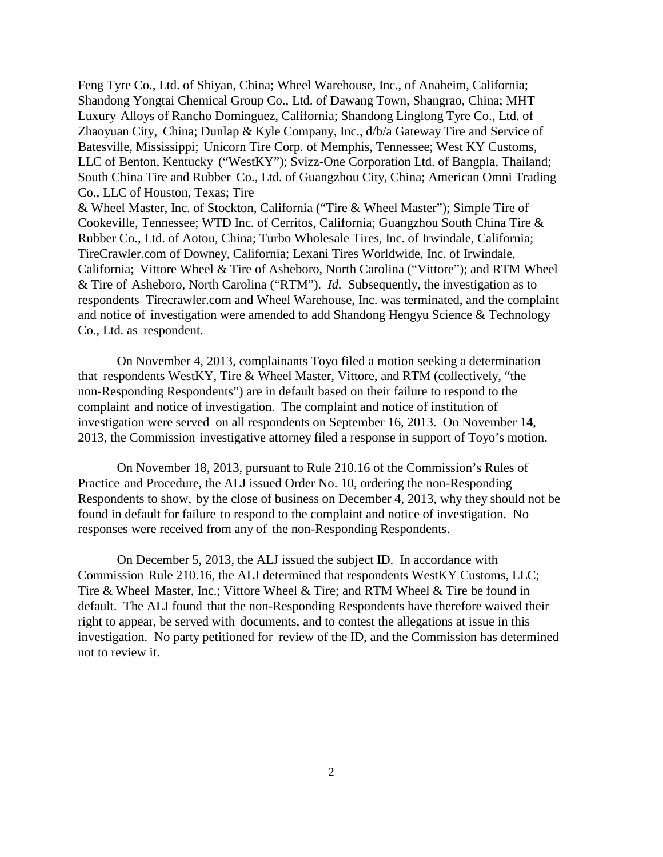Feng Tyre Co., Ltd. of Shiyan, China; Wheel Warehouse, Inc., of Anaheim, California; Shandong Yongtai Chemical Group Co., Ltd. of Dawang Town, Shangrao, China; MHT Luxury Alloys of Rancho Dominguez, California; Shandong Linglong Tyre Co., Ltd. of Zhaoyuan City, China; Dunlap & Kyle Company, Inc., d/b/a Gateway Tire and Service of Batesville, Mississippi; Unicorn Tire Corp. of Memphis, Tennessee; West KY Customs, LLC of Benton, Kentucky ("WestKY"); Svizz-One Corporation Ltd. of Bangpla, Thailand; South China Tire and Rubber Co., Ltd. of Guangzhou City, China; American Omni Trading Co., LLC of Houston, Texas; Tire

& Wheel Master, Inc. of Stockton, California ("Tire & Wheel Master"); Simple Tire of Cookeville, Tennessee; WTD Inc. of Cerritos, California; Guangzhou South China Tire & Rubber Co., Ltd. of Aotou, China; Turbo Wholesale Tires, Inc. of Irwindale, California; TireCrawler.com of Downey, California; Lexani Tires Worldwide, Inc. of Irwindale, California; Vittore Wheel & Tire of Asheboro, North Carolina ("Vittore"); and RTM Wheel & Tire of Asheboro, North Carolina ("RTM"). *Id.* Subsequently, the investigation as to respondents Tirecrawler.com and Wheel Warehouse, Inc. was terminated, and the complaint and notice of investigation were amended to add Shandong Hengyu Science & Technology Co., Ltd. as respondent.

On November 4, 2013, complainants Toyo filed a motion seeking a determination that respondents WestKY, Tire & Wheel Master, Vittore, and RTM (collectively, "the non-Responding Respondents") are in default based on their failure to respond to the complaint and notice of investigation. The complaint and notice of institution of investigation were served on all respondents on September 16, 2013. On November 14, 2013, the Commission investigative attorney filed a response in support of Toyo's motion.

On November 18, 2013, pursuant to Rule 210.16 of the Commission's Rules of Practice and Procedure, the ALJ issued Order No. 10, ordering the non-Responding Respondents to show, by the close of business on December 4, 2013, why they should not be found in default for failure to respond to the complaint and notice of investigation. No responses were received from any of the non-Responding Respondents.

On December 5, 2013, the ALJ issued the subject ID. In accordance with Commission Rule 210.16, the ALJ determined that respondents WestKY Customs, LLC; Tire & Wheel Master, Inc.; Vittore Wheel & Tire; and RTM Wheel & Tire be found in default. The ALJ found that the non-Responding Respondents have therefore waived their right to appear, be served with documents, and to contest the allegations at issue in this investigation. No party petitioned for review of the ID, and the Commission has determined not to review it.